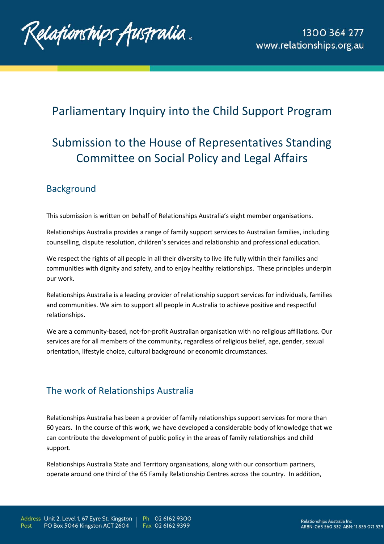

## Parliamentary Inquiry into the Child Support Program

# Submission to the House of Representatives Standing Committee on Social Policy and Legal Affairs

#### **Background**

This submission is written on behalf of Relationships Australia's eight member organisations.

Relationships Australia provides a range of family support services to Australian families, including counselling, dispute resolution, children's services and relationship and professional education.

We respect the rights of all people in all their diversity to live life fully within their families and communities with dignity and safety, and to enjoy healthy relationships. These principles underpin our work.

Relationships Australia is a leading provider of relationship support services for individuals, families and communities. We aim to support all people in Australia to achieve positive and respectful relationships.

We are a community-based, not-for-profit Australian organisation with no religious affiliations. Our services are for all members of the community, regardless of religious belief, age, gender, sexual orientation, lifestyle choice, cultural background or economic circumstances.

### The work of Relationships Australia

Relationships Australia has been a provider of family relationships support services for more than 60 years. In the course of this work, we have developed a considerable body of knowledge that we can contribute the development of public policy in the areas of family relationships and child support.

Relationships Australia State and Territory organisations, along with our consortium partners, operate around one third of the 65 Family Relationship Centres across the country. In addition,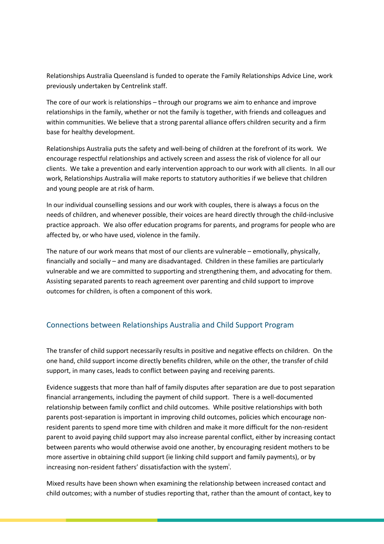Relationships Australia Queensland is funded to operate the Family Relationships Advice Line, work previously undertaken by Centrelink staff.

The core of our work is relationships – through our programs we aim to enhance and improve relationships in the family, whether or not the family is together, with friends and colleagues and within communities. We believe that a strong parental alliance offers children security and a firm base for healthy development.

Relationships Australia puts the safety and well-being of children at the forefront of its work. We encourage respectful relationships and actively screen and assess the risk of violence for all our clients. We take a prevention and early intervention approach to our work with all clients. In all our work, Relationships Australia will make reports to statutory authorities if we believe that children and young people are at risk of harm.

In our individual counselling sessions and our work with couples, there is always a focus on the needs of children, and whenever possible, their voices are heard directly through the child-inclusive practice approach. We also offer education programs for parents, and programs for people who are affected by, or who have used, violence in the family.

The nature of our work means that most of our clients are vulnerable – emotionally, physically, financially and socially – and many are disadvantaged. Children in these families are particularly vulnerable and we are committed to supporting and strengthening them, and advocating for them. Assisting separated parents to reach agreement over parenting and child support to improve outcomes for children, is often a component of this work.

#### Connections between Relationships Australia and Child Support Program

The transfer of child support necessarily results in positive and negative effects on children. On the one hand, child support income directly benefits children, while on the other, the transfer of child support, in many cases, leads to conflict between paying and receiving parents.

Evidence suggests that more than half of family disputes after separation are due to post separation financial arrangements, including the payment of child support. There is a well-documented relationship between family conflict and child outcomes. While positive relationships with both parents post-separation is important in improving child outcomes, policies which encourage nonresident parents to spend more time with children and make it more difficult for the non-resident parent to avoid paying child support may also increase parental conflict, either by increasing contact between parents who would otherwise avoid one another, by encouraging resident mothers to be more assertive in obtaining child support (ie linking child support and family payments), or by increasing non-resident fathers' dissatisfaction with the system<sup>i</sup>.

Mixed results have been shown when examining the relationship between increased contact and child outcomes; with a number of studies reporting that, rather than the amount of contact, key to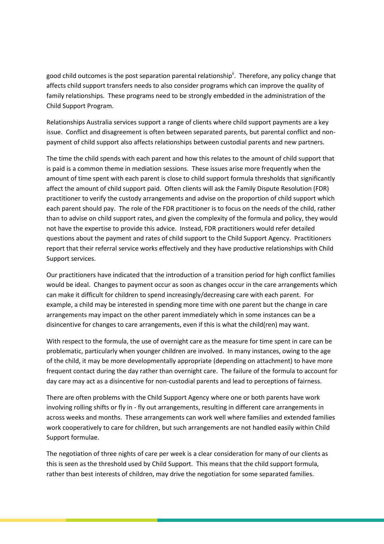good child outcomes is the post separation parental relationship<sup>ii</sup>. Therefore, any policy change that affects child support transfers needs to also consider programs which can improve the quality of family relationships. These programs need to be strongly embedded in the administration of the Child Support Program.

Relationships Australia services support a range of clients where child support payments are a key issue. Conflict and disagreement is often between separated parents, but parental conflict and nonpayment of child support also affects relationships between custodial parents and new partners.

The time the child spends with each parent and how this relates to the amount of child support that is paid is a common theme in mediation sessions. These issues arise more frequently when the amount of time spent with each parent is close to child support formula thresholds that significantly affect the amount of child support paid. Often clients will ask the Family Dispute Resolution (FDR) practitioner to verify the custody arrangements and advise on the proportion of child support which each parent should pay. The role of the FDR practitioner is to focus on the needs of the child, rather than to advise on child support rates, and given the complexity of the formula and policy, they would not have the expertise to provide this advice. Instead, FDR practitioners would refer detailed questions about the payment and rates of child support to the Child Support Agency. Practitioners report that their referral service works effectively and they have productive relationships with Child Support services.

Our practitioners have indicated that the introduction of a transition period for high conflict families would be ideal. Changes to payment occur as soon as changes occur in the care arrangements which can make it difficult for children to spend increasingly/decreasing care with each parent. For example, a child may be interested in spending more time with one parent but the change in care arrangements may impact on the other parent immediately which in some instances can be a disincentive for changes to care arrangements, even if this is what the child(ren) may want.

With respect to the formula, the use of overnight care as the measure for time spent in care can be problematic, particularly when younger children are involved. In many instances, owing to the age of the child, it may be more developmentally appropriate (depending on attachment) to have more frequent contact during the day rather than overnight care. The failure of the formula to account for day care may act as a disincentive for non-custodial parents and lead to perceptions of fairness.

There are often problems with the Child Support Agency where one or both parents have work involving rolling shifts or fly in - fly out arrangements, resulting in different care arrangements in across weeks and months. These arrangements can work well where families and extended families work cooperatively to care for children, but such arrangements are not handled easily within Child Support formulae.

The negotiation of three nights of care per week is a clear consideration for many of our clients as this is seen as the threshold used by Child Support. This means that the child support formula, rather than best interests of children, may drive the negotiation for some separated families.